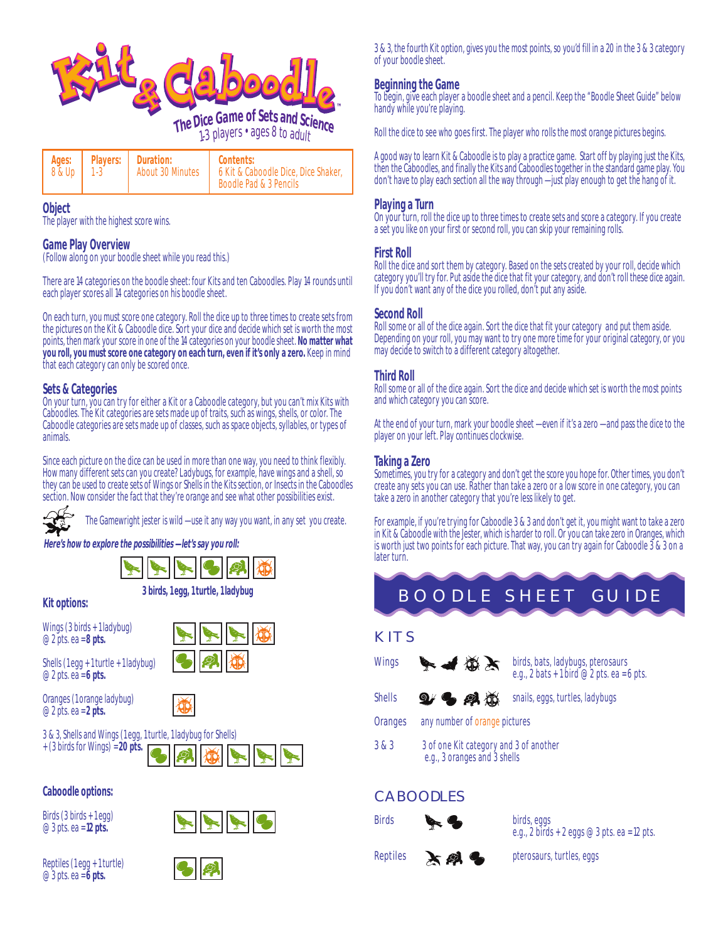

**Object** The player with the highest score wins.

#### **Game Play Overview** (Follow along on your boodle sheet while you read this.)

There are 14 categories on the boodle sheet: four Kits and ten Caboodles. Play 14 rounds until each player scores all 14 categories on his boodle sheet.

On each turn, you must score one category. Roll the dice up to three times to create sets from the pictures on the Kit & Caboodle dice. Sort your dice and decide which set is worth the most points, then mark your score in one of the 14 categories on your boodle sheet. **No matter what you roll, you must score one category on each turn, even if it's only a zero.** Keep in mind that each category can only be scored once.

#### **Sets & Categories**

On your turn, you can try for either a Kit or a Caboodle category, but you can't mix Kits with Caboodles. The Kit categories are sets made up of traits, such as wings, shells, or color. The Caboodle categories are sets made up of classes, such as space objects, syllables, or types of animals.

Since each picture on the dice can be used in more than one way, you need to think flexibly. How many different sets can you create? Ladybugs, for example, have wings and a shell, so they can be used to create sets of Wings or Shells in the Kits section, or Insects in the Caboodles section. Now consider the fact that they're orange and see what other possibilities exist.



The Gamewright jester is wild — use it any way you want, in any set you create.

**Here's how to explore the possibilities — let's say you roll:**



**3 birds, 1 egg, 1 turtle, 1 ladybug**

**Kit options:**

Wings (3 birds + 1 ladybug) @ 2 pts. ea = **8 pts.**

@ 2 pts. ea = **6 pts.**



Oranges (1 orange ladybug) @ 2 pts. ea = **2 pts.**



# 3 & 3, Shells and Wings (1 egg, 1 turtle, 1 ladybug for Shells)



## **Caboodle options:**

Birds (3 birds + 1 egg) @ 3 pts. ea = **12 pts.**



Reptiles (1 egg + 1 turtle) @ 3 pts. ea = **6 pts.**



3 & 3, the fourth Kit option, gives you the most points, so you'd fill in a 20 in the 3 & 3 category of your boodle sheet.

## **Beginning the Game**

To begin, give each player a boodle sheet and a pencil. Keep the "Boodle Sheet Guide" below handy while you're playing.

Roll the dice to see who goes first. The player who rolls the most orange pictures begins.

A good way to learn Kit & Caboodle is to play a practice game. Start off by playing just the Kits, then the Caboodles, and finally the Kits and Caboodles together in the standard game play. You don't have to play each section all the way through — just play enough to get the hang of it.

#### **Playing a Turn**

On your turn, roll the dice up to three times to create sets and score a category. If you create a set you like on your first or second roll, you can skip your remaining rolls.

#### **First Roll**

Roll the dice and sort them by category. Based on the sets created by your roll, decide which category you'll try for. Put aside the dice that fit your category, and don't roll these dice again. If you don't want any of the dice you rolled, don't put any aside.

#### **Second Roll**

Roll some or all of the dice again. Sort the dice that fit your category and put them aside. Depending on your roll, you may want to try one more time for your original category, or you may decide to switch to a different category altogether.

## **Third Roll**

Roll some or all of the dice again. Sort the dice and decide which set is worth the most points and which category you can score.

At the end of your turn, mark your boodle sheet — even if it's a zero — and pass the dice to the player on your left. Play continues clockwise.

#### **Taking a Zero**

Sometimes, you try for a category and don't get the score you hope for. Other times, you don't create any sets you can use. Rather than take a zero or a low score in one category, you can take a zero in another category that you're less likely to get.

For example, if you're trying for Caboodle 3 & 3 and don't get it, you might want to take a zero in Kit & Caboodle with the Jester, which is harder to roll. Or you can take zero in Oranges, which is worth just two points for each picture. That way, you can try again for Caboodle 3 & 3 on a later turn.



# **K ITS**



Wings  $\bigotimes$   $\bigotimes$   $\bigotimes$   $\bigotimes$  birds, bats, ladybugs, pterosaurs e.g.,  $2 \text{ bats} + 1 \text{ bird} \otimes 2 \text{ pts.}$  ea = 6 pts.



Oranges any number of orange pictures

3 & 3 3 of one Kit category and 3 of another e.g., 3 oranges and 3 shells

# **CABOODLES**



e.g., 2 birds + 2 eggs  $\omega$  3 pts. ea = 12 pts.